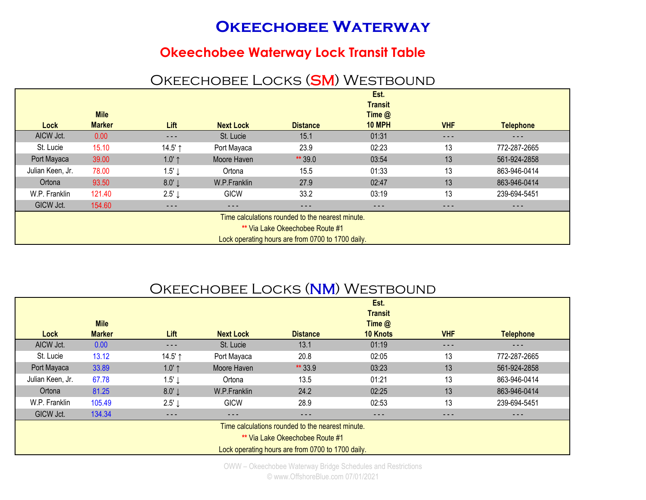# **OKEECHOBEE WATERWAY**

#### **Okeechobee Waterway Lock Transit Table**

## OKEECHOBEE LOCKS (SM) WESTBOUND

|                                                   |               |                   |                  |                 | Est.           |            |                  |  |  |
|---------------------------------------------------|---------------|-------------------|------------------|-----------------|----------------|------------|------------------|--|--|
|                                                   |               |                   |                  |                 | <b>Transit</b> |            |                  |  |  |
|                                                   | <b>Mile</b>   |                   |                  |                 | Time $@$       |            |                  |  |  |
| Lock                                              | <b>Marker</b> | Lift              | <b>Next Lock</b> | <b>Distance</b> | <b>10 MPH</b>  | <b>VHF</b> | <b>Telephone</b> |  |  |
| AICW Jct.                                         | 0.00          | $- - -$           | St. Lucie        | 15.1            | 01:31          | ---        | ---              |  |  |
| St. Lucie                                         | 15.10         | 14.5' $\uparrow$  | Port Mayaca      | 23.9            | 02:23          | 13         | 772-287-2665     |  |  |
| Port Mayaca                                       | 39.00         | 1.0' $\uparrow$   | Moore Haven      | ** 39.0         | 03:54          | 13         | 561-924-2858     |  |  |
| Julian Keen, Jr.                                  | 78.00         | 1.5'              | Ortona           | 15.5            | 01:33          | 13         | 863-946-0414     |  |  |
| Ortona                                            | 93.50         | 8.0'              | W.P.Franklin     | 27.9            | 02:47          | 13         | 863-946-0414     |  |  |
| W.P. Franklin                                     | 121.40        | $2.5' \downarrow$ | <b>GICW</b>      | 33.2            | 03:19          | 13         | 239-694-5451     |  |  |
| GICW Jct.                                         | 154.60        | - - -             | - - -            | ---             | $- - -$        | - - -      | ---              |  |  |
| Time calculations rounded to the nearest minute.  |               |                   |                  |                 |                |            |                  |  |  |
| ** Via Lake Okeechobee Route #1                   |               |                   |                  |                 |                |            |                  |  |  |
| Lock operating hours are from 0700 to 1700 daily. |               |                   |                  |                 |                |            |                  |  |  |

### OKEECHOBEE LOCKS (NM) WESTBOUND

|                  |                                                  |                   |                  |                                                   | Est.            |            |                  |  |  |
|------------------|--------------------------------------------------|-------------------|------------------|---------------------------------------------------|-----------------|------------|------------------|--|--|
|                  |                                                  |                   |                  |                                                   | <b>Transit</b>  |            |                  |  |  |
|                  | <b>Mile</b>                                      |                   |                  |                                                   | Time $@$        |            |                  |  |  |
| Lock             | <b>Marker</b>                                    | Lift              | <b>Next Lock</b> | <b>Distance</b>                                   | <b>10 Knots</b> | <b>VHF</b> | <b>Telephone</b> |  |  |
| AICW Jct.        | 0.00                                             | $\frac{1}{2}$     | St. Lucie        | 13.1                                              | 01:19           | $- - -$    | ---              |  |  |
| St. Lucie        | 13.12                                            | 14.5' ↑           | Port Mayaca      | 20.8                                              | 02:05           | 13         | 772-287-2665     |  |  |
| Port Mayaca      | 33.89                                            | $1.0'$ ↑          | Moore Haven      | ** 33.9                                           | 03:23           | 13         | 561-924-2858     |  |  |
| Julian Keen, Jr. | 67.78                                            | $1.5' \downarrow$ | Ortona           | 13.5                                              | 01:21           | 13         | 863-946-0414     |  |  |
| Ortona           | 81.25                                            | 8.0'              | W.P.Franklin     | 24.2                                              | 02:25           | 13         | 863-946-0414     |  |  |
| W.P. Franklin    | 105.49                                           | 2.5' $\downarrow$ | <b>GICW</b>      | 28.9                                              | 02:53           | 13         | 239-694-5451     |  |  |
| GICW Jct.        | 134.34                                           | $- - -$           | $- - -$          | ---                                               | $- - -$         | $- - -$    | $- - -$          |  |  |
|                  | Time calculations rounded to the nearest minute. |                   |                  |                                                   |                 |            |                  |  |  |
|                  | <b>** Via Lake Okeechobee Route #1</b>           |                   |                  |                                                   |                 |            |                  |  |  |
|                  |                                                  |                   |                  | Lock operating hours are from 0700 to 1700 daily. |                 |            |                  |  |  |

OWW – Okeechobee Waterway Bridge Schedules and Restrictions © www.OffshoreBlue.com 07/01/2021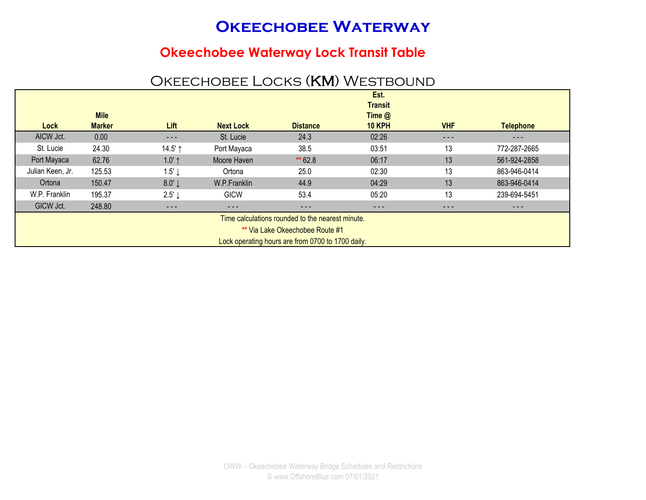# **Okeechobee Waterway**

### **Okeechobee Waterway Lock Transit Table**

## OKEECHOBEE LOCKS (KM) WESTBOUND

|                                                   |               |                   |                  |                 | Est.           |            |                  |  |  |
|---------------------------------------------------|---------------|-------------------|------------------|-----------------|----------------|------------|------------------|--|--|
|                                                   |               |                   |                  |                 | <b>Transit</b> |            |                  |  |  |
|                                                   | <b>Mile</b>   |                   |                  |                 | Time $@$       |            |                  |  |  |
| Lock                                              | <b>Marker</b> | Lift              | <b>Next Lock</b> | <b>Distance</b> | <b>10 KPH</b>  | <b>VHF</b> | <b>Telephone</b> |  |  |
| AICW Jct.                                         | 0.00          | $\frac{1}{2}$     | St. Lucie        | 24.3            | 02:26          | $- - -$    | $- - -$          |  |  |
| St. Lucie                                         | 24.30         | 14.5' ↑           | Port Mayaca      | 38.5            | 03:51          | 13         | 772-287-2665     |  |  |
| Port Mayaca                                       | 62.76         | $1.0'$ ↑          | Moore Haven      | ** 62.8         | 06:17          | 13         | 561-924-2858     |  |  |
| Julian Keen, Jr.                                  | 125.53        | $1.5' \downarrow$ | Ortona           | 25.0            | 02:30          | 13         | 863-946-0414     |  |  |
| Ortona                                            | 150.47        | 8.0'              | W.P.Franklin     | 44.9            | 04:29          | 13         | 863-946-0414     |  |  |
| W.P. Franklin                                     | 195.37        | 2.5' $\downarrow$ | <b>GICW</b>      | 53.4            | 05:20          | 13         | 239-694-5451     |  |  |
| GICW Jct.                                         | 248.80        | ---               | ---              | $- - -$         | $- - -$        | - - -      | ---              |  |  |
| Time calculations rounded to the nearest minute.  |               |                   |                  |                 |                |            |                  |  |  |
| ** Via Lake Okeechobee Route #1                   |               |                   |                  |                 |                |            |                  |  |  |
| Lock operating hours are from 0700 to 1700 daily. |               |                   |                  |                 |                |            |                  |  |  |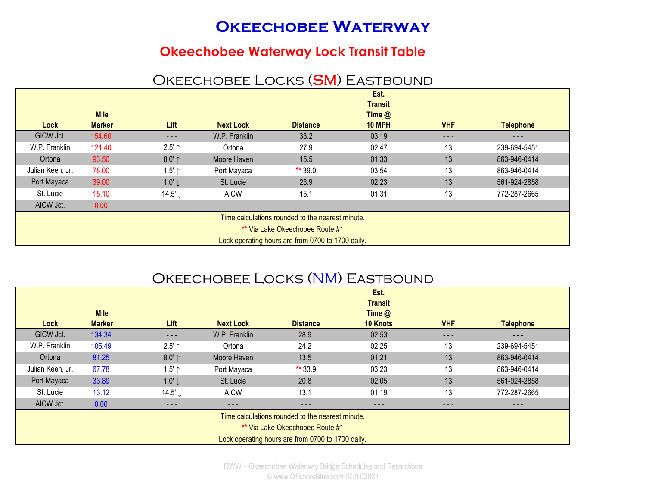# **OKEECHOBEE WATERWAY**

### **Okeechobee Waterway Lock Transit Table**

### OKEECHOBEE LOCKS (SM) EASTBOUND

|                                                  |               |          |                  |                                                   | Est.           |            |                  |  |
|--------------------------------------------------|---------------|----------|------------------|---------------------------------------------------|----------------|------------|------------------|--|
|                                                  |               |          |                  |                                                   | <b>Transit</b> |            |                  |  |
|                                                  | <b>Mile</b>   |          |                  |                                                   | Time $@$       |            |                  |  |
| Lock                                             | <b>Marker</b> | Lift     | <b>Next Lock</b> | <b>Distance</b>                                   | <b>10 MPH</b>  | <b>VHF</b> | <b>Telephone</b> |  |
| GICW Jct.                                        | 154.60        | ---      | W.P. Franklin    | 33.2                                              | 03:19          | ---        | - - -            |  |
| W.P. Franklin                                    | 121.40        | $2.5'$ ↑ | Ortona           | 27.9                                              | 02:47          | 13         | 239-694-5451     |  |
| Ortona                                           | 93.50         | $8.0'$ ↑ | Moore Haven      | 15.5                                              | 01:33          | 13         | 863-946-0414     |  |
| Julian Keen, Jr.                                 | 78.00         | $1.5'$ ↑ | Port Mayaca      | ** 39.0                                           | 03:54          | 13         | 863-946-0414     |  |
| Port Mayaca                                      | 39.00         | 1.0'     | St. Lucie        | 23.9                                              | 02:23          | 13         | 561-924-2858     |  |
| St. Lucie                                        | 15.10         | 14.5'↓   | <b>AICW</b>      | 15.1                                              | 01:31          | 13         | 772-287-2665     |  |
| AICW Jct.                                        | 0.00          | $- - -$  | - - -            | ---                                               | ---            | $- - -$    | ---              |  |
| Time calculations rounded to the nearest minute. |               |          |                  |                                                   |                |            |                  |  |
| ** Via Lake Okeechobee Route #1                  |               |          |                  |                                                   |                |            |                  |  |
|                                                  |               |          |                  | Lock operating hours are from 0700 to 1700 daily. |                |            |                  |  |

# OKEECHOBEE LOCKS (NM) EASTBOUND

|                                                  |               |                   |                  |                                                   | Est.<br><b>Transit</b> |            |                  |  |
|--------------------------------------------------|---------------|-------------------|------------------|---------------------------------------------------|------------------------|------------|------------------|--|
|                                                  | <b>Mile</b>   |                   |                  |                                                   | Time $@$               |            |                  |  |
| Lock                                             | <b>Marker</b> | Lift              | <b>Next Lock</b> | <b>Distance</b>                                   | <b>10 Knots</b>        | <b>VHF</b> | <b>Telephone</b> |  |
| GICW Jct.                                        | 134.34        | $\frac{1}{2}$     | W.P. Franklin    | 28.9                                              | 02:53                  | $- - -$    | - - -            |  |
| W.P. Franklin                                    | 105.49        | $2.5'$ ↑          | Ortona           | 24.2                                              | 02:25                  | 13         | 239-694-5451     |  |
| Ortona                                           | 81.25         | $8.0'$ ↑          | Moore Haven      | 13.5                                              | 01:21                  | 13         | 863-946-0414     |  |
| Julian Keen, Jr.                                 | 67.78         | $1.5'$ ↑          | Port Mayaca      | ** 33.9                                           | 03:23                  | 13         | 863-946-0414     |  |
| Port Mayaca                                      | 33.89         | $1.0' \downarrow$ | St. Lucie        | 20.8                                              | 02:05                  | 13         | 561-924-2858     |  |
| St. Lucie                                        | 13.12         | 14.5'↓            | <b>AICW</b>      | 13.1                                              | 01:19                  | 13         | 772-287-2665     |  |
| AICW Jct.                                        | 0.00          | - - -             | - - -            | ---                                               | $\frac{1}{2}$          | $- - -$    | ---              |  |
| Time calculations rounded to the nearest minute. |               |                   |                  |                                                   |                        |            |                  |  |
| ** Via Lake Okeechobee Route #1                  |               |                   |                  |                                                   |                        |            |                  |  |
|                                                  |               |                   |                  | Lock operating hours are from 0700 to 1700 daily. |                        |            |                  |  |